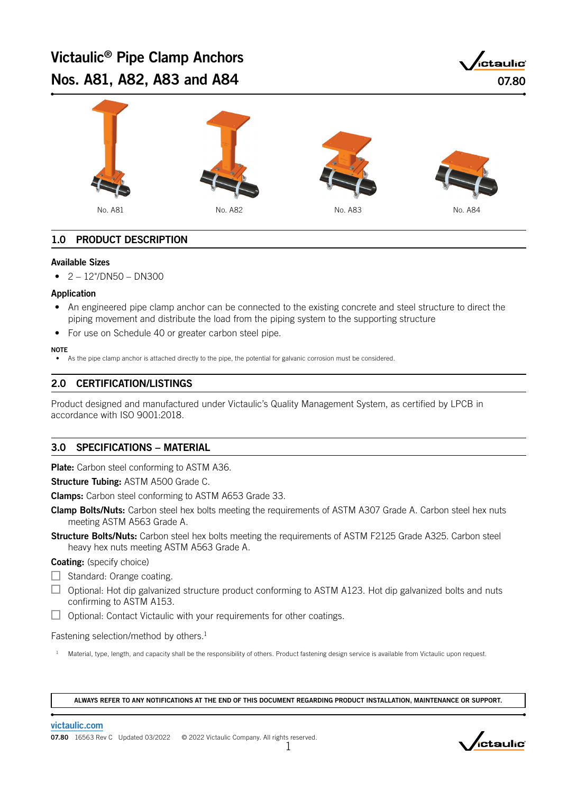# Victaulic® Pipe Clamp Anchors Nos. A81, A82, A83 and A84 07.80





# 1.0 PRODUCT DESCRIPTION

#### Available Sizes

 $\bullet$  2 – 12"/DN50 – DN300

#### Application

- An engineered pipe clamp anchor can be connected to the existing concrete and steel structure to direct the piping movement and distribute the load from the piping system to the supporting structure
- For use on Schedule 40 or greater carbon steel pipe.

#### **NOTE**

As the pipe clamp anchor is attached directly to the pipe, the potential for galvanic corrosion must be considered.

### 2.0 CERTIFICATION/LISTINGS

Product designed and manufactured under Victaulic's Quality Management System, as certified by LPCB in accordance with ISO 9001:2018.

### 3.0 SPECIFICATIONS – MATERIAL

Plate: Carbon steel conforming to ASTM A36.

Structure Tubing: ASTM A500 Grade C.

Clamps: Carbon steel conforming to ASTM A653 Grade 33.

- Clamp Bolts/Nuts: Carbon steel hex bolts meeting the requirements of ASTM A307 Grade A. Carbon steel hex nuts meeting ASTM A563 Grade A.
- **Structure Bolts/Nuts:** Carbon steel hex bolts meeting the requirements of ASTM F2125 Grade A325. Carbon steel heavy hex nuts meeting ASTM A563 Grade A.

#### Coating: (specify choice)

- $\Box$  Standard: Orange coating.
- $\Box$  Optional: Hot dip galvanized structure product conforming to ASTM A123. Hot dip galvanized bolts and nuts confirming to ASTM A153.
- $\Box$  Optional: Contact Victaulic with your requirements for other coatings.

Fastening selection/method by others.<sup>1</sup>

<sup>1</sup> Material, type, length, and capacity shall be the responsibility of others. Product fastening design service is available from Victaulic upon request.

ALWAYS REFER TO ANY NOTIFICATIONS AT THE END OF THIS DOCUMENT REGARDING PRODUCT INSTALLATION, MAINTENANCE OR SUPPORT.

[victaulic.com](http://www.victaulic.com/)

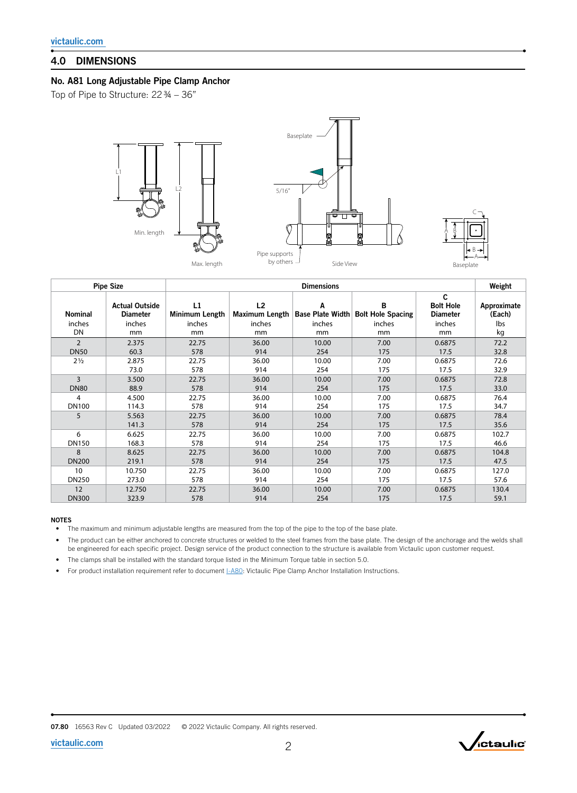## 4.0 DIMENSIONS

### No. A81 Long Adjustable Pipe Clamp Anchor

Top of Pipe to Structure: 22 ¾ – 36"



|                | <b>Pipe Size</b>                         | <b>Dimensions</b>    |                                  |                              |                               |                                          |                       |  |
|----------------|------------------------------------------|----------------------|----------------------------------|------------------------------|-------------------------------|------------------------------------------|-----------------------|--|
| Nominal        | <b>Actual Outside</b><br><b>Diameter</b> | L1<br>Minimum Length | L <sub>2</sub><br>Maximum Length | A<br><b>Base Plate Width</b> | B<br><b>Bolt Hole Spacing</b> | C<br><b>Bolt Hole</b><br><b>Diameter</b> | Approximate<br>(Each) |  |
| inches         | inches                                   | inches               | inches                           | inches                       | inches                        | inches                                   | Ibs                   |  |
| DN             | mm                                       | mm                   | mm                               | mm                           | mm                            | mm                                       | kg                    |  |
| $\overline{2}$ | 2.375                                    | 22.75                | 36.00                            | 10.00                        | 7.00                          | 0.6875                                   | 72.2                  |  |
| <b>DN50</b>    | 60.3                                     | 578                  | 914                              | 254                          | 175                           | 17.5                                     | 32.8                  |  |
| $2\frac{1}{2}$ | 2.875                                    | 22.75                | 36.00                            | 10.00                        | 7.00                          | 0.6875                                   | 72.6                  |  |
|                | 73.0                                     | 578                  | 914                              | 254                          | 175                           | 17.5                                     | 32.9                  |  |
| 3              | 3.500                                    | 22.75                | 36.00                            | 10.00                        | 7.00                          | 0.6875                                   | 72.8                  |  |
| <b>DN80</b>    | 88.9                                     | 578                  | 914                              | 254                          | 175                           | 17.5                                     | 33.0                  |  |
| 4              | 4.500                                    | 22.75                | 36.00                            | 10.00                        | 7.00                          | 0.6875                                   | 76.4                  |  |
| <b>DN100</b>   | 114.3                                    | 578                  | 914                              | 254                          | 175                           | 17.5                                     | 34.7                  |  |
| 5              | 5.563                                    | 22.75                | 36.00                            | 10.00                        | 7.00                          | 0.6875                                   | 78.4                  |  |
|                | 141.3                                    | 578                  | 914                              | 254                          | 175                           | 17.5                                     | 35.6                  |  |
| 6              | 6.625                                    | 22.75                | 36.00                            | 10.00                        | 7.00                          | 0.6875                                   | 102.7                 |  |
| <b>DN150</b>   | 168.3                                    | 578                  | 914                              | 254                          | 175                           | 17.5                                     | 46.6                  |  |
| 8              | 8.625                                    | 22.75                | 36.00                            | 10.00                        | 7.00                          | 0.6875                                   | 104.8                 |  |
| <b>DN200</b>   | 219.1                                    | 578                  | 914                              | 254                          | 175                           | 17.5                                     | 47.5                  |  |
| 10             | 10.750                                   | 22.75                | 36.00                            | 10.00                        | 7.00                          | 0.6875                                   | 127.0                 |  |
| DN250          | 273.0                                    | 578                  | 914                              | 254                          | 175                           | 17.5                                     | 57.6                  |  |
| 12             | 12.750                                   | 22.75                | 36.00                            | 10.00                        | 7.00                          | 0.6875                                   | 130.4                 |  |
| <b>DN300</b>   | 323.9                                    | 578                  | 914                              | 254                          | 175                           | 17.5                                     | 59.1                  |  |

#### NOTES

• The maximum and minimum adjustable lengths are measured from the top of the pipe to the top of the base plate.

• The product can be either anchored to concrete structures or welded to the steel frames from the base plate. The design of the anchorage and the welds shall be engineered for each specific project. Design service of the product connection to the structure is available from Victaulic upon customer request.

• The clamps shall be installed with the standard torque listed in the Minimum Torque table in section 5.0.

• For product installation requirement refer to document  $I-A80$ : Victaulic Pipe Clamp Anchor Installation Instructions.

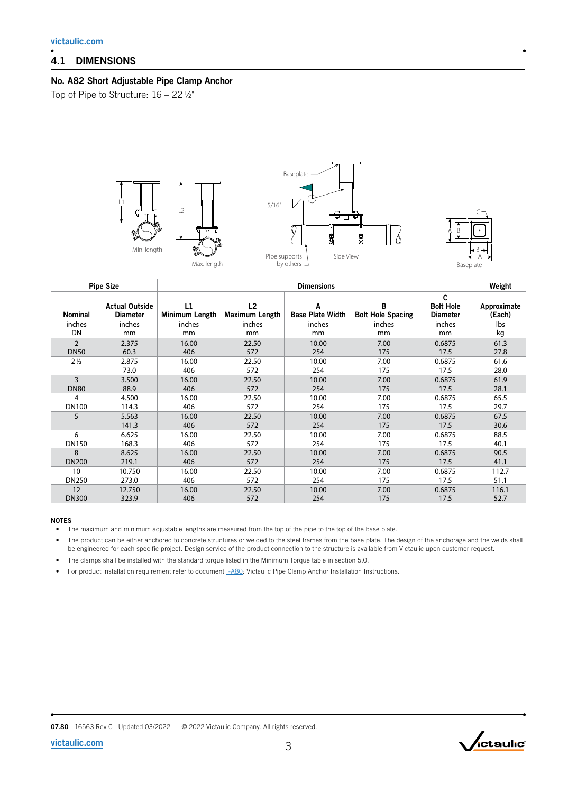### 4.1 DIMENSIONS

### No. A82 Short Adjustable Pipe Clamp Anchor

Top of Pipe to Structure: 16 – 22 ½"



|                | <b>Pipe Size</b>                         | <b>Dimensions</b>    |                      |                              |                               |                                          |                       |  |  |
|----------------|------------------------------------------|----------------------|----------------------|------------------------------|-------------------------------|------------------------------------------|-----------------------|--|--|
| Nominal        | <b>Actual Outside</b><br><b>Diameter</b> | L1<br>Minimum Length | L2<br>Maximum Length | Α<br><b>Base Plate Width</b> | B<br><b>Bolt Hole Spacing</b> | C<br><b>Bolt Hole</b><br><b>Diameter</b> | Approximate<br>(Each) |  |  |
| inches         | inches                                   | inches               | inches               | inches                       | inches                        | inches                                   | Ibs                   |  |  |
| DN             | mm                                       | mm                   | mm                   | mm                           | mm                            | mm                                       | kg                    |  |  |
| $\overline{2}$ | 2.375                                    | 16.00                | 22.50                | 10.00                        | 7.00                          | 0.6875                                   | 61.3                  |  |  |
| <b>DN50</b>    | 60.3                                     | 406                  | 572                  | 254                          | 175                           | 17.5                                     | 27.8                  |  |  |
| $2\frac{1}{2}$ | 2.875                                    | 16.00                | 22.50                | 10.00                        | 7.00                          | 0.6875                                   | 61.6                  |  |  |
|                | 73.0                                     | 406                  | 572                  | 254                          | 175                           | 17.5                                     | 28.0                  |  |  |
| 3              | 3.500                                    | 16.00                | 22.50                | 10.00                        | 7.00                          | 0.6875                                   | 61.9                  |  |  |
| <b>DN80</b>    | 88.9                                     | 406                  | 572                  | 254                          | 175                           | 17.5                                     | 28.1                  |  |  |
| 4              | 4.500                                    | 16.00                | 22.50                | 10.00                        | 7.00                          | 0.6875                                   | 65.5                  |  |  |
| <b>DN100</b>   | 114.3                                    | 406                  | 572                  | 254                          | 175                           | 17.5                                     | 29.7                  |  |  |
| 5              | 5.563                                    | 16.00                | 22.50                | 10.00                        | 7.00                          | 0.6875                                   | 67.5                  |  |  |
|                | 141.3                                    | 406                  | 572                  | 254                          | 175                           | 17.5                                     | 30.6                  |  |  |
| 6              | 6.625                                    | 16.00                | 22.50                | 10.00                        | 7.00                          | 0.6875                                   | 88.5                  |  |  |
| DN150          | 168.3                                    | 406                  | 572                  | 254                          | 175                           | 17.5                                     | 40.1                  |  |  |
| 8              | 8.625                                    | 16.00                | 22.50                | 10.00                        | 7.00                          | 0.6875                                   | 90.5                  |  |  |
| <b>DN200</b>   | 219.1                                    | 406                  | 572                  | 254                          | 175                           | 17.5                                     | 41.1                  |  |  |
| 10             | 10.750                                   | 16.00                | 22.50                | 10.00                        | 7.00                          | 0.6875                                   | 112.7                 |  |  |
| <b>DN250</b>   | 273.0                                    | 406                  | 572                  | 254                          | 175                           | 17.5                                     | 51.1                  |  |  |
| 12             | 12.750                                   | 16.00                | 22.50                | 10.00                        | 7.00                          | 0.6875                                   | 116.1                 |  |  |
| <b>DN300</b>   | 323.9                                    | 406                  | 572                  | 254                          | 175                           | 17.5                                     | 52.7                  |  |  |

#### NOTES

• The maximum and minimum adjustable lengths are measured from the top of the pipe to the top of the base plate.

• The product can be either anchored to concrete structures or welded to the steel frames from the base plate. The design of the anchorage and the welds shall be engineered for each specific project. Design service of the product connection to the structure is available from Victaulic upon customer request.

• The clamps shall be installed with the standard torque listed in the Minimum Torque table in section 5.0.

• For product installation requirement refer to document LA80: Victaulic Pipe Clamp Anchor Installation Instructions.



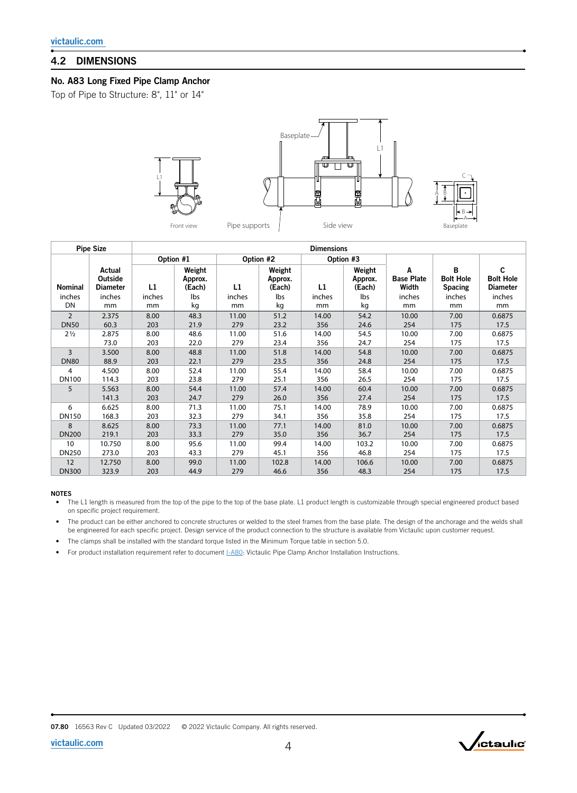### 4.2 DIMENSIONS

### No. A83 Long Fixed Pipe Clamp Anchor

Top of Pipe to Structure: 8", 11" or 14"



| <b>Pipe Size</b> |                                      | <b>Dimensions</b> |                             |           |                             |           |                             |                                 |                                         |                                          |  |
|------------------|--------------------------------------|-------------------|-----------------------------|-----------|-----------------------------|-----------|-----------------------------|---------------------------------|-----------------------------------------|------------------------------------------|--|
|                  |                                      | Option #1         |                             | Option #2 |                             | Option #3 |                             |                                 |                                         |                                          |  |
| <b>Nominal</b>   | Actual<br>Outside<br><b>Diameter</b> | L1                | Weight<br>Approx.<br>(Each) | L1        | Weight<br>Approx.<br>(Each) | L1        | Weight<br>Approx.<br>(Each) | Α<br><b>Base Plate</b><br>Width | B<br><b>Bolt Hole</b><br><b>Spacing</b> | C<br><b>Bolt Hole</b><br><b>Diameter</b> |  |
| inches           | inches                               | inches            | Ibs                         | inches    | Ibs                         | inches    | Ibs                         | inches                          | inches                                  | inches                                   |  |
| DN               | mm                                   | mm                | kg                          | mm        | kg                          | mm        | kg                          | mm                              | mm                                      | mm                                       |  |
| $\overline{2}$   | 2.375                                | 8.00              | 48.3                        | 11.00     | 51.2                        | 14.00     | 54.2                        | 10.00                           | 7.00                                    | 0.6875                                   |  |
| <b>DN50</b>      | 60.3                                 | 203               | 21.9                        | 279       | 23.2                        | 356       | 24.6                        | 254                             | 175                                     | 17.5                                     |  |
| $2\frac{1}{2}$   | 2.875                                | 8.00              | 48.6                        | 11.00     | 51.6                        | 14.00     | 54.5                        | 10.00                           | 7.00                                    | 0.6875                                   |  |
|                  | 73.0                                 | 203               | 22.0                        | 279       | 23.4                        | 356       | 24.7                        | 254                             | 175                                     | 17.5                                     |  |
| 3                | 3.500                                | 8.00              | 48.8                        | 11.00     | 51.8                        | 14.00     | 54.8                        | 10.00                           | 7.00                                    | 0.6875                                   |  |
| <b>DN80</b>      | 88.9                                 | 203               | 22.1                        | 279       | 23.5                        | 356       | 24.8                        | 254                             | 175                                     | 17.5                                     |  |
| 4                | 4.500                                | 8.00              | 52.4                        | 11.00     | 55.4                        | 14.00     | 58.4                        | 10.00                           | 7.00                                    | 0.6875                                   |  |
| <b>DN100</b>     | 114.3                                | 203               | 23.8                        | 279       | 25.1                        | 356       | 26.5                        | 254                             | 175                                     | 17.5                                     |  |
| 5                | 5.563                                | 8.00              | 54.4                        | 11.00     | 57.4                        | 14.00     | 60.4                        | 10.00                           | 7.00                                    | 0.6875                                   |  |
|                  | 141.3                                | 203               | 24.7                        | 279       | 26.0                        | 356       | 27.4                        | 254                             | 175                                     | 17.5                                     |  |
| 6                | 6.625                                | 8.00              | 71.3                        | 11.00     | 75.1                        | 14.00     | 78.9                        | 10.00                           | 7.00                                    | 0.6875                                   |  |
| <b>DN150</b>     | 168.3                                | 203               | 32.3                        | 279       | 34.1                        | 356       | 35.8                        | 254                             | 175                                     | 17.5                                     |  |
| 8                | 8.625                                | 8.00              | 73.3                        | 11.00     | 77.1                        | 14.00     | 81.0                        | 10.00                           | 7.00                                    | 0.6875                                   |  |
| <b>DN200</b>     | 219.1                                | 203               | 33.3                        | 279       | 35.0                        | 356       | 36.7                        | 254                             | 175                                     | 17.5                                     |  |
| 10               | 10.750                               | 8.00              | 95.6                        | 11.00     | 99.4                        | 14.00     | 103.2                       | 10.00                           | 7.00                                    | 0.6875                                   |  |
| <b>DN250</b>     | 273.0                                | 203               | 43.3                        | 279       | 45.1                        | 356       | 46.8                        | 254                             | 175                                     | 17.5                                     |  |
| 12               | 12.750                               | 8.00              | 99.0                        | 11.00     | 102.8                       | 14.00     | 106.6                       | 10.00                           | 7.00                                    | 0.6875                                   |  |
| <b>DN300</b>     | 323.9                                | 203               | 44.9                        | 279       | 46.6                        | 356       | 48.3                        | 254                             | 175                                     | 17.5                                     |  |

#### NOTES

• The L1 length is measured from the top of the pipe to the top of the base plate. L1 product length is customizable through special engineered product based on specific project requirement.

• The product can be either anchored to concrete structures or welded to the steel frames from the base plate. The design of the anchorage and the welds shall be engineered for each specific project. Design service of the product connection to the structure is available from Victaulic upon customer request.

• The clamps shall be installed with the standard torque listed in the Minimum Torque table in section 5.0.

• For product installation requirement refer to document  $I-ABO$ : Victaulic Pipe Clamp Anchor Installation Instructions.

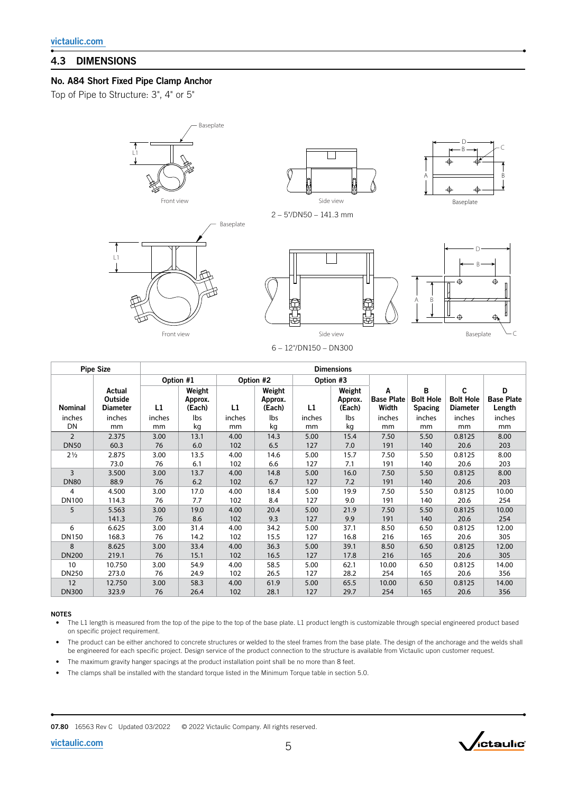# 4.3 DIMENSIONS

### No. A84 Short Fixed Pipe Clamp Anchor

Top of Pipe to Structure: 3", 4" or 5"

L1

↑





6 – 12"/DN150 – DN300

| <b>Pipe Size</b> |                                             | <b>Dimensions</b> |                             |              |                             |              |                             |                                 |                                         |                                          |                                  |  |
|------------------|---------------------------------------------|-------------------|-----------------------------|--------------|-----------------------------|--------------|-----------------------------|---------------------------------|-----------------------------------------|------------------------------------------|----------------------------------|--|
|                  |                                             |                   | Option #1                   |              | Option #2                   |              | Option #3                   |                                 |                                         |                                          |                                  |  |
| <b>Nominal</b>   | Actual<br><b>Outside</b><br><b>Diameter</b> | L1                | Weight<br>Approx.<br>(Each) | L1           | Weight<br>Approx.<br>(Each) | L1           | Weight<br>Approx.<br>(Each) | A<br><b>Base Plate</b><br>Width | в<br><b>Bolt Hole</b><br><b>Spacing</b> | C<br><b>Bolt Hole</b><br><b>Diameter</b> | D<br><b>Base Plate</b><br>Length |  |
| inches<br>DN     | inches<br>mm                                | inches<br>mm      | lbs<br>kg                   | inches<br>mm | lbs<br>kg                   | inches<br>mm | lbs<br>kg                   | inches<br>mm                    | inches<br>mm                            | inches<br>mm                             | inches<br>mm                     |  |
| $\overline{2}$   | 2.375                                       | 3.00              | 13.1                        | 4.00         | 14.3                        | 5.00         | 15.4                        | 7.50                            | 5.50                                    | 0.8125                                   | 8.00                             |  |
| <b>DN50</b>      | 60.3                                        | 76                | 6.0                         | 102          | 6.5                         | 127          | 7.0                         | 191                             | 140                                     | 20.6                                     | 203                              |  |
| $2\frac{1}{2}$   | 2.875                                       | 3.00              | 13.5                        | 4.00         | 14.6                        | 5.00         | 15.7                        | 7.50                            | 5.50                                    | 0.8125                                   | 8.00                             |  |
|                  | 73.0                                        | 76                | 6.1                         | 102          | 6.6                         | 127          | 7.1                         | 191                             | 140                                     | 20.6                                     | 203                              |  |
| $\overline{3}$   | 3.500                                       | 3.00              | 13.7                        | 4.00         | 14.8                        | 5.00         | 16.0                        | 7.50                            | 5.50                                    | 0.8125                                   | 8.00                             |  |
| <b>DN80</b>      | 88.9                                        | 76                | 6.2                         | 102          | 6.7                         | 127          | 7.2                         | 191                             | 140                                     | 20.6                                     | 203                              |  |
| 4                | 4.500                                       | 3.00              | 17.0                        | 4.00         | 18.4                        | 5.00         | 19.9                        | 7.50                            | 5.50                                    | 0.8125                                   | 10.00                            |  |
| <b>DN100</b>     | 114.3                                       | 76                | 7.7                         | 102          | 8.4                         | 127          | 9.0                         | 191                             | 140                                     | 20.6                                     | 254                              |  |
| 5                | 5.563                                       | 3.00              | 19.0                        | 4.00         | 20.4                        | 5.00         | 21.9                        | 7.50                            | 5.50                                    | 0.8125                                   | 10.00                            |  |
|                  | 141.3                                       | 76                | 8.6                         | 102          | 9.3                         | 127          | 9.9                         | 191                             | 140                                     | 20.6                                     | 254                              |  |
| 6                | 6.625                                       | 3.00              | 31.4                        | 4.00         | 34.2                        | 5.00         | 37.1                        | 8.50                            | 6.50                                    | 0.8125                                   | 12.00                            |  |
| <b>DN150</b>     | 168.3                                       | 76                | 14.2                        | 102          | 15.5                        | 127          | 16.8                        | 216                             | 165                                     | 20.6                                     | 305                              |  |
| 8                | 8.625                                       | 3.00              | 33.4                        | 4.00         | 36.3                        | 5.00         | 39.1                        | 8.50                            | 6.50                                    | 0.8125                                   | 12.00                            |  |
| <b>DN200</b>     | 219.1                                       | 76                | 15.1                        | 102          | 16.5                        | 127          | 17.8                        | 216                             | 165                                     | 20.6                                     | 305                              |  |
| 10               | 10.750                                      | 3.00              | 54.9                        | 4.00         | 58.5                        | 5.00         | 62.1                        | 10.00                           | 6.50                                    | 0.8125                                   | 14.00                            |  |
| <b>DN250</b>     | 273.0                                       | 76                | 24.9                        | 102          | 26.5                        | 127          | 28.2                        | 254                             | 165                                     | 20.6                                     | 356                              |  |
| 12               | 12.750                                      | 3.00              | 58.3                        | 4.00         | 61.9                        | 5.00         | 65.5                        | 10.00                           | 6.50                                    | 0.8125                                   | 14.00                            |  |
| <b>DN300</b>     | 323.9                                       | 76                | 26.4                        | 102          | 28.1                        | 127          | 29.7                        | 254                             | 165                                     | 20.6                                     | 356                              |  |

#### NOTES

• The L1 length is measured from the top of the pipe to the top of the base plate. L1 product length is customizable through special engineered product based on specific project requirement.

The product can be either anchored to concrete structures or welded to the steel frames from the base plate. The design of the anchorage and the welds shall be engineered for each specific project. Design service of the product connection to the structure is available from Victaulic upon customer request.

The maximum gravity hanger spacings at the product installation point shall be no more than 8 feet.

• The clamps shall be installed with the standard torque listed in the Minimum Torque table in section 5.0.

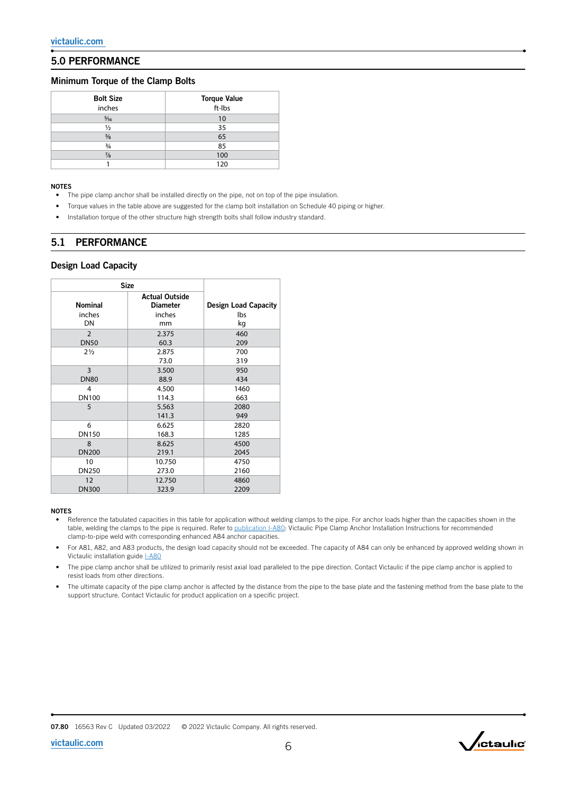## 5.0 PERFORMANCE

#### Minimum Torque of the Clamp Bolts

| <b>Bolt Size</b><br>inches | <b>Torque Value</b><br>ft-Ibs |
|----------------------------|-------------------------------|
| $\frac{5}{16}$             | 10                            |
| $\frac{1}{2}$              | 35                            |
| $\frac{5}{8}$              | 65                            |
| $\frac{3}{4}$              | 85                            |
| $\frac{7}{8}$              | 100                           |
|                            | 120                           |

#### NOTES

- The pipe clamp anchor shall be installed directly on the pipe, not on top of the pipe insulation.
- Torque values in the table above are suggested for the clamp bolt installation on Schedule 40 piping or higher.
- Installation torque of the other structure high strength bolts shall follow industry standard.

### 5.1 PERFORMANCE

#### Design Load Capacity

| <b>Size</b>    |                                          |                             |  |  |  |
|----------------|------------------------------------------|-----------------------------|--|--|--|
| <b>Nominal</b> | <b>Actual Outside</b><br><b>Diameter</b> | <b>Design Load Capacity</b> |  |  |  |
| inches         | inches                                   | lbs                         |  |  |  |
| DN             | mm                                       | kg                          |  |  |  |
| $\overline{2}$ | 2.375                                    | 460                         |  |  |  |
| <b>DN50</b>    | 60.3                                     | 209                         |  |  |  |
| $2\frac{1}{2}$ | 2.875                                    | 700                         |  |  |  |
|                | 73.0                                     | 319                         |  |  |  |
| 3              | 3.500                                    | 950                         |  |  |  |
| <b>DN80</b>    | 88.9                                     | 434                         |  |  |  |
| 4              | 4.500                                    | 1460                        |  |  |  |
| <b>DN100</b>   | 114.3                                    | 663                         |  |  |  |
| 5              | 5.563                                    | 2080                        |  |  |  |
|                | 141.3                                    | 949                         |  |  |  |
| 6              | 6.625                                    | 2820                        |  |  |  |
| <b>DN150</b>   | 168.3                                    | 1285                        |  |  |  |
| 8              | 8.625                                    | 4500                        |  |  |  |
| <b>DN200</b>   | 219.1                                    | 2045                        |  |  |  |
| 10             | 10.750                                   | 4750                        |  |  |  |
| <b>DN250</b>   | 273.0                                    | 2160                        |  |  |  |
| 12             | 12.750                                   | 4860                        |  |  |  |
| <b>DN300</b>   | 323.9                                    | 2209                        |  |  |  |

#### NOTES

- Reference the tabulated capacities in this table for application without welding clamps to the pipe. For anchor loads higher than the capacities shown in the table, welding the clamps to the pipe is required. Refer to **[publication I-A80](http://static.victaulic.com/assets/uploads/literature/I-A80.pdf):** Victaulic Pipe Clamp Anchor Installation Instructions for recommended clamp-to-pipe weld with corresponding enhanced A84 anchor capacities.
- For A81, A82, and A83 products, the design load capacity should not be exceeded. The capacity of A84 can only be enhanced by approved welding shown in Victaulic installation guide **[I-A80](http://static.victaulic.com/assets/uploads/literature/I-A80.pdf)**
- The pipe clamp anchor shall be utilized to primarily resist axial load paralleled to the pipe direction. Contact Victaulic if the pipe clamp anchor is applied to resist loads from other directions.
- The ultimate capacity of the pipe clamp anchor is affected by the distance from the pipe to the base plate and the fastening method from the base plate to the support structure. Contact Victaulic for product application on a specific project.